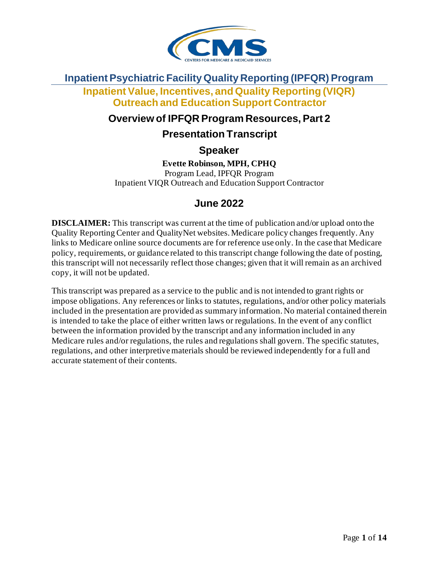

## **Inpatient Psychiatric Facility Quality Reporting (IPFQR) Program**

**Inpatient Value, Incentives, and Quality Reporting (VIQR) Outreach and Education Support Contractor**

#### **Overview of IPFQR Program Resources, Part 2**

#### **Presentation Transcript**

**Speaker**

**Evette Robinson, MPH, CPHQ** Program Lead, IPFQR Program Inpatient VIQR Outreach and Education Support Contractor

#### **June 2022**

**DISCLAIMER:** This transcript was current at the time of publication and/or upload onto the Quality Reporting Center and QualityNet websites. Medicare policy changes frequently. Any links to Medicare online source documents are for reference use only. In the case that Medicare policy, requirements, or guidance related to this transcript change following the date of posting, this transcript will not necessarily reflect those changes; given that it will remain as an archived copy, it will not be updated.

This transcript was prepared as a service to the public and is not intended to grant rights or impose obligations. Any references or links to statutes, regulations, and/or other policy materials included in the presentation are provided as summary information. No material contained therein is intended to take the place of either written laws or regulations. In the event of any conflict between the information provided by the transcript and any information included in any Medicare rules and/or regulations, the rules and regulations shall govern. The specific statutes, regulations, and other interpretive materials should be reviewed independently for a full and accurate statement of their contents.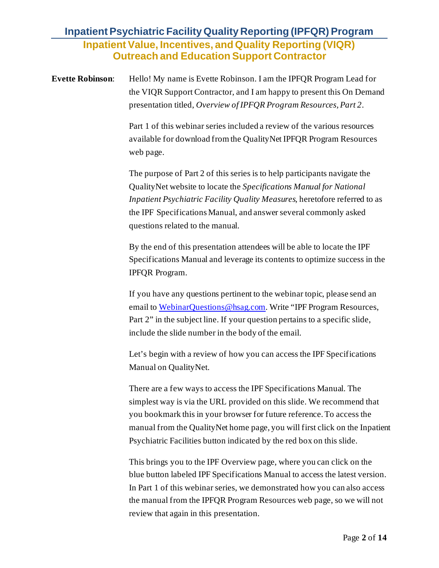**Evette Robinson:** Hello! My name is Evette Robinson. I am the IPFQR Program Lead for the VIQR Support Contractor, and I am happy to present this On Demand presentation titled, *Overview of IPFQR Program Resources, Part 2*.

> Part 1 of this webinar series included a review of the various resources available for download from the QualityNet IPFQR Program Resources web page.

The purpose of Part 2 of this series is to help participants navigate the QualityNet website to locate the *Specifications Manual for National Inpatient Psychiatric Facility Quality Measures,* heretofore referred to as the IPF Specifications Manual, and answer several commonly asked questions related to the manual.

By the end of this presentation attendees will be able to locate the IPF Specifications Manual and leverage its contents to optimize success in the IPFQR Program.

If you have any questions pertinent to the webinar topic, please send an email to [WebinarQuestions@hsag.com](mailto:WebinarQuestions@hsag.com). Write "IPF Program Resources, Part 2" in the subject line. If your question pertains to a specific slide, include the slide number in the body of the email.

Let's begin with a review of how you can access the IPF Specifications Manual on QualityNet.

There are a few ways to access the IPF Specifications Manual. The simplest way is via the URL provided on this slide. We recommend that you bookmark this in your browser for future reference. To access the manual from the QualityNet home page, you will first click on the Inpatient Psychiatric Facilities button indicated by the red box on this slide.

This brings you to the IPF Overview page, where you can click on the blue button labeled IPF Specifications Manual to access the latest version. In Part 1 of this webinar series, we demonstrated how you can also access the manual from the IPFQR Program Resources web page, so we will not review that again in this presentation.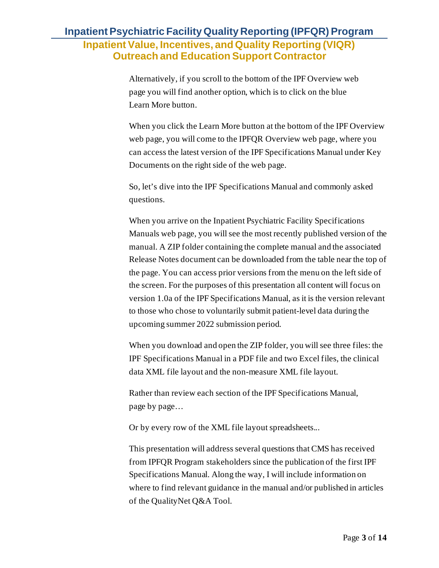Alternatively, if you scroll to the bottom of the IPF Overview web page you will find another option, which is to click on the blue Learn More button.

When you click the Learn More button at the bottom of the IPF Overview web page, you will come to the IPFQR Overview web page, where you can access the latest version of the IPF Specifications Manual under Key Documents on the right side of the web page.

So, let's dive into the IPF Specifications Manual and commonly asked questions.

When you arrive on the Inpatient Psychiatric Facility Specifications Manuals web page, you will see the most recently published version of the manual. A ZIP folder containing the complete manual and the associated Release Notes document can be downloaded from the table near the top of the page. You can access prior versions from the menu on the left side of the screen. For the purposes of this presentation all content will focus on version 1.0a of the IPF Specifications Manual, as it is the version relevant to those who chose to voluntarily submit patient-level data during the upcoming summer 2022 submission period.

When you download and open the ZIP folder, you will see three files: the IPF Specifications Manual in a PDF file and two Excel files, the clinical data XML file layout and the non-measure XML file layout.

Rather than review each section of the IPF Specifications Manual, page by page…

Or by every row of the XML file layout spreadsheets...

This presentation will address several questions that CMS has received from IPFQR Program stakeholders since the publication of the first IPF Specifications Manual. Along the way, I will include information on where to find relevant guidance in the manual and/or published in articles of the QualityNet Q&A Tool.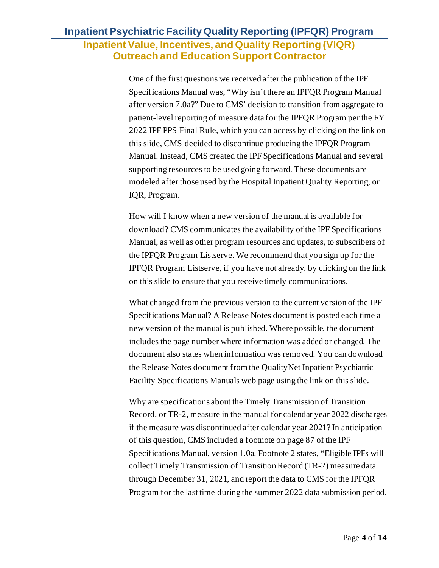One of the first questions we received after the publication of the IPF Specifications Manual was, "Why isn't there an IPFQR Program Manual after version 7.0a?" Due to CMS' decision to transition from aggregate to patient-level reporting of measure data for the IPFQR Program per the FY 2022 IPF PPS Final Rule, which you can access by clicking on the link on this slide, CMS decided to discontinue producing the IPFQR Program Manual. Instead, CMS created the IPF Specifications Manual and several supporting resources to be used going forward. These documents are modeled after those used by the Hospital Inpatient Quality Reporting, or IQR, Program.

How will I know when a new version of the manual is available for download? CMS communicates the availability of the IPF Specifications Manual, as well as other program resources and updates, to subscribers of the IPFQR Program Listserve. We recommend that you sign up for the IPFQR Program Listserve, if you have not already, by clicking on the link on this slide to ensure that you receive timely communications.

What changed from the previous version to the current version of the IPF Specifications Manual? A Release Notes document is posted each time a new version of the manual is published. Where possible, the document includes the page number where information was added or changed. The document also states when information was removed. You can download the Release Notes document from the QualityNet Inpatient Psychiatric Facility Specifications Manuals web page using the link on this slide.

Why are specifications about the Timely Transmission of Transition Record, or TR-2, measure in the manual for calendar year 2022 discharges if the measure was discontinued after calendar year 2021? In anticipation of this question, CMS included a footnote on page 87 of the IPF Specifications Manual, version 1.0a. Footnote 2 states, "Eligible IPFs will collect Timely Transmission of Transition Record (TR-2) measure data through December 31, 2021, and report the data to CMS for the IPFQR Program for the last time during the summer 2022 data submission period.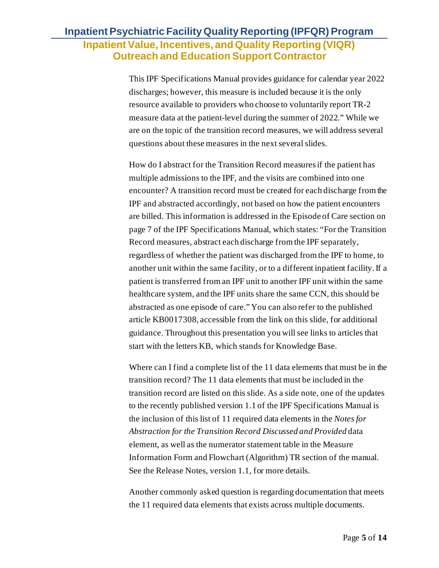This IPF Specifications Manual provides guidance for calendar year 2022 discharges; however, this measure is included because it is the only resource available to providers who choose to voluntarily report TR-2 measure data at the patient-level during the summer of 2022." While we are on the topic of the transition record measures, we will address several questions about these measures in the next several slides.

How do I abstract for the Transition Record measures if the patient has multiple admissions to the IPF, and the visits are combined into one encounter? A transition record must be created for each discharge from the IPF and abstracted accordingly, not based on how the patient encounters are billed. This information is addressed in the Episode of Care section on page 7 of the IPF Specifications Manual, which states: "For the Transition Record measures, abstract each discharge from the IPF separately, regardless of whether the patient was discharged from the IPF to home, to another unit within the same facility, or to a different inpatient facility. If a patient is transferred from an IPF unit to another IPF unit within the same healthcare system, and the IPF units share the same CCN, this should be abstracted as one episode of care." You can also refer to the published article KB0017308, accessible from the link on this slide, for additional guidance. Throughout this presentation you will see links to articles that start with the letters KB, which stands for Knowledge Base.

Where can I find a complete list of the 11 data elements that must be in the transition record? The 11 data elements that must be included in the transition record are listed on this slide. As a side note, one of the updates to the recently published version 1.1 of the IPF Specifications Manual is the inclusion of this list of 11 required data elements in the *Notes for Abstraction for the Transition Record Discussed and Provided* data element, as well as the numerator statement table in the Measure Information Form and Flowchart (Algorithm) TR section of the manual. See the Release Notes, version 1.1, for more details.

Another commonly asked question is regarding documentation that meets the 11 required data elements that exists across multiple documents.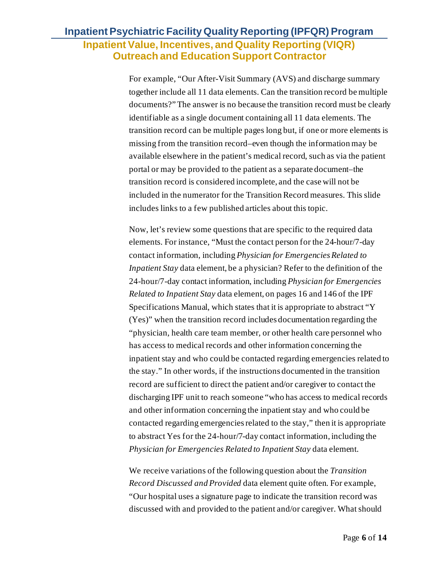For example, "Our After-Visit Summary (AVS) and discharge summary together include all 11 data elements. Can the transition record be multiple documents?" The answer is no because the transition record must be clearly identifiable as a single document containing all 11 data elements. The transition record can be multiple pages long but, if one or more elements is missing from the transition record–even though the information may be available elsewhere in the patient's medical record, such as via the patient portal or may be provided to the patient as a separate document–the transition record is considered incomplete, and the case will not be included in the numerator for the Transition Record measures. This slide includes links to a few published articles about this topic.

Now, let's review some questions that are specific to the required data elements. For instance, "Must the contact person for the 24-hour/7-day contact information, including *Physician for Emergencies Related to Inpatient Stay* data element, be a physician? Refer to the definition of the 24-hour/7-day contact information, including *Physician for Emergencies Related to Inpatient Stay* data element, on pages 16 and 146 of the IPF Specifications Manual, which states that it is appropriate to abstract "Y (Yes)" when the transition record includes documentation regarding the "physician, health care team member, or other health care personnel who has access to medical records and other information concerning the inpatient stay and who could be contacted regarding emergencies related to the stay." In other words, if the instructions documented in the transition record are sufficient to direct the patient and/or caregiver to contact the discharging IPF unit to reach someone "who has access to medical records and other information concerning the inpatient stay and who could be contacted regarding emergencies related to the stay," then it is appropriate to abstract Yes for the 24-hour/7-day contact information, including the *Physician for Emergencies Related to Inpatient Stay* data element.

We receive variations of the following question about the *Transition Record Discussed and Provided* data element quite often. For example, "Our hospital uses a signature page to indicate the transition record was discussed with and provided to the patient and/or caregiver. What should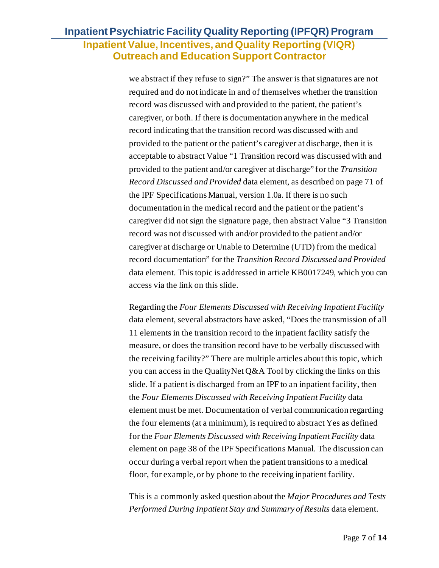we abstract if they refuse to sign?" The answer is that signatures are not required and do not indicate in and of themselves whether the transition record was discussed with and provided to the patient, the patient's caregiver, or both. If there is documentation anywhere in the medical record indicating that the transition record was discussed with and provided to the patient or the patient's caregiver at discharge, then it is acceptable to abstract Value "1 Transition record was discussed with and provided to the patient and/or caregiver at discharge" for the *Transition Record Discussed and Provided* data element, as described on page 71 of the IPF Specifications Manual, version 1.0a. If there is no such documentation in the medical record and the patient or the patient's caregiver did not sign the signature page, then abstract Value "3 Transition record was not discussed with and/or provided to the patient and/or caregiver at discharge or Unable to Determine (UTD) from the medical record documentation" for the *Transition Record Discussed and Provided* data element. This topic is addressed in article KB0017249, which you can access via the link on this slide.

Regarding the *Four Elements Discussed with Receiving Inpatient Facility* data element, several abstractors have asked, "Does the transmission of all 11 elements in the transition record to the inpatient facility satisfy the measure, or does the transition record have to be verbally discussed with the receiving facility?" There are multiple articles about this topic, which you can access in the QualityNet Q&A Tool by clicking the links on this slide. If a patient is discharged from an IPF to an inpatient facility, then the *Four Elements Discussed with Receiving Inpatient Facility* data element must be met. Documentation of verbal communication regarding the four elements (at a minimum), is required to abstract Yes as defined for the *Four Elements Discussed with Receiving Inpatient Facility* data element on page 38 of the IPF Specifications Manual. The discussion can occur during a verbal report when the patient transitions to a medical floor, for example, or by phone to the receiving inpatient facility.

This is a commonly asked question about the *Major Procedures and Tests Performed During Inpatient Stay and Summary of Results* data element.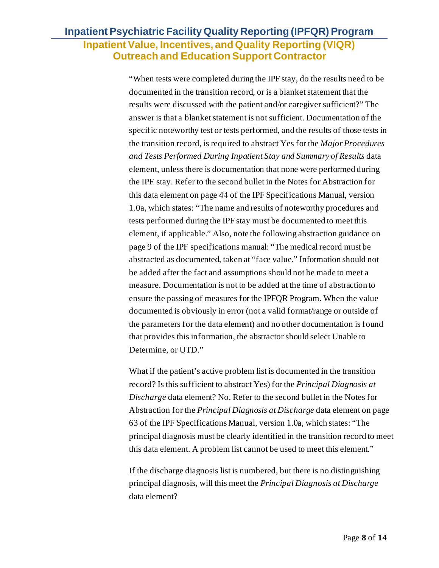"When tests were completed during the IPF stay, do the results need to be documented in the transition record, or is a blanket statement that the results were discussed with the patient and/or caregiver sufficient?" The answer is that a blanket statement is not sufficient. Documentation of the specific noteworthy test or tests performed, and the results of those tests in the transition record, is required to abstract Yes for the *Major Procedures and Tests Performed During Inpatient Stay and Summary of Results* data element, unless there is documentation that none were performed during the IPF stay. Refer to the second bullet in the Notes for Abstraction for this data element on page 44 of the IPF Specifications Manual, version 1.0a, which states: "The name and results of noteworthy procedures and tests performed during the IPF stay must be documented to meet this element, if applicable." Also, note the following abstraction guidance on page 9 of the IPF specifications manual: "The medical record must be abstracted as documented, taken at "face value." Information should not be added after the fact and assumptions should not be made to meet a measure. Documentation is not to be added at the time of abstraction to ensure the passing of measures for the IPFQR Program. When the value documented is obviously in error (not a valid format/range or outside of the parameters for the data element) and no other documentation is found that provides this information, the abstractor should select Unable to Determine, or UTD."

What if the patient's active problem list is documented in the transition record? Is this sufficient to abstract Yes) for the *Principal Diagnosis at Discharge* data element? No. Refer to the second bullet in the Notes for Abstraction for the *Principal Diagnosis at Discharge* data element on page 63 of the IPF Specifications Manual, version 1.0a, which states: "The principal diagnosis must be clearly identified in the transition record to meet this data element. A problem list cannot be used to meet this element."

If the discharge diagnosis list is numbered, but there is no distinguishing principal diagnosis, will this meet the *Principal Diagnosis at Discharge*  data element?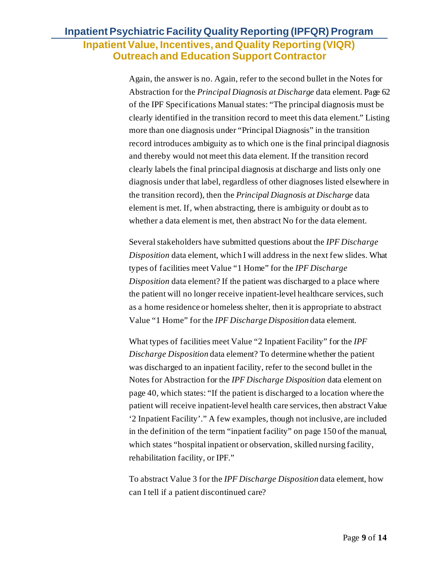Again, the answer is no. Again, refer to the second bullet in the Notes for Abstraction for the *Principal Diagnosis at Discharge* data element. Page 62 of the IPF Specifications Manual states: "The principal diagnosis must be clearly identified in the transition record to meet this data element." Listing more than one diagnosis under "Principal Diagnosis" in the transition record introduces ambiguity as to which one is the final principal diagnosis and thereby would not meet this data element. If the transition record clearly labels the final principal diagnosis at discharge and lists only one diagnosis under that label, regardless of other diagnoses listed elsewhere in the transition record), then the *Principal Diagnosis at Discharge* data element is met. If, when abstracting, there is ambiguity or doubt as to whether a data element is met, then abstract No for the data element.

Several stakeholders have submitted questions about the *IPF Discharge Disposition* data element, which I will address in the next few slides. What types of facilities meet Value "1 Home" for the *IPF Discharge Disposition* data element? If the patient was discharged to a place where the patient will no longer receive inpatient-level healthcare services, such as a home residence or homeless shelter, then it is appropriate to abstract Value "1 Home" for the *IPF Discharge Disposition* data element.

What types of facilities meet Value "2 Inpatient Facility" for the *IPF Discharge Disposition* data element? To determine whether the patient was discharged to an inpatient facility, refer to the second bullet in the Notes for Abstraction for the *IPF Discharge Disposition* data element on page 40, which states: "If the patient is discharged to a location where the patient will receive inpatient-level health care services, then abstract Value '2 Inpatient Facility'." A few examples, though not inclusive, are included in the definition of the term "inpatient facility" on page 150 of the manual, which states "hospital inpatient or observation, skilled nursing facility, rehabilitation facility, or IPF."

To abstract Value 3 for the *IPF Discharge Disposition* data element, how can I tell if a patient discontinued care?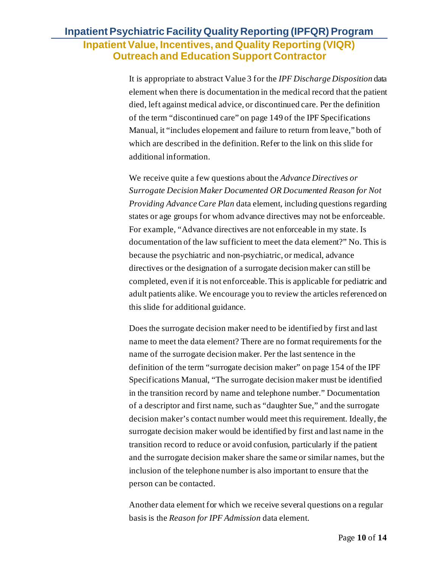It is appropriate to abstract Value 3 for the *IPF Discharge Disposition* data element when there is documentation in the medical record that the patient died, left against medical advice, or discontinued care. Per the definition of the term "discontinued care" on page 149 of the IPF Specifications Manual, it "includes elopement and failure to return from leave," both of which are described in the definition. Refer to the link on this slide for additional information.

We receive quite a few questions about the *Advance Directives or Surrogate Decision Maker Documented OR Documented Reason for Not Providing Advance Care Plan* data element, including questions regarding states or age groups for whom advance directives may not be enforceable. For example, "Advance directives are not enforceable in my state. Is documentation of the law sufficient to meet the data element?" No. This is because the psychiatric and non-psychiatric, or medical, advance directives or the designation of a surrogate decision maker can still be completed, even if it is not enforceable. This is applicable for pediatric and adult patients alike. We encourage you to review the articles referenced on this slide for additional guidance.

Does the surrogate decision maker need to be identified by first and last name to meet the data element? There are no format requirements for the name of the surrogate decision maker. Per the last sentence in the definition of the term "surrogate decision maker" on page 154 of the IPF Specifications Manual, "The surrogate decision maker must be identified in the transition record by name and telephone number." Documentation of a descriptor and first name, such as "daughter Sue," and the surrogate decision maker's contact number would meet this requirement. Ideally, the surrogate decision maker would be identified by first and last name in the transition record to reduce or avoid confusion, particularly if the patient and the surrogate decision maker share the same or similar names, but the inclusion of the telephone number is also important to ensure that the person can be contacted.

Another data element for which we receive several questions on a regular basis is the *Reason for IPF Admission* data element.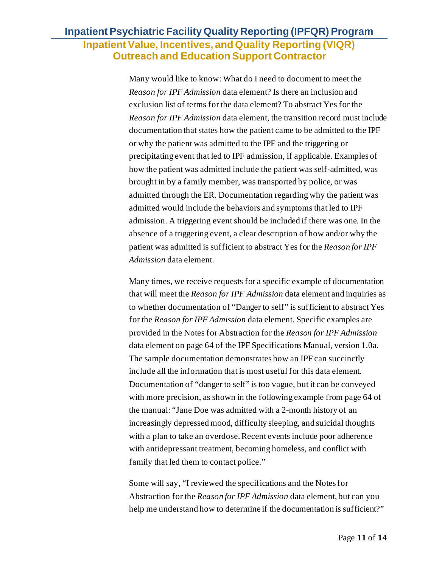Many would like to know: What do I need to document to meet the *Reason for IPF Admission* data element? Is there an inclusion and exclusion list of terms for the data element? To abstract Yes for the *Reason for IPF Admission* data element, the transition record must include documentation that states how the patient came to be admitted to the IPF or why the patient was admitted to the IPF and the triggering or precipitating event that led to IPF admission, if applicable. Examples of how the patient was admitted include the patient was self-admitted, was brought in by a family member, was transported by police, or was admitted through the ER. Documentation regarding why the patient was admitted would include the behaviors and symptoms that led to IPF admission. A triggering event should be included if there was one. In the absence of a triggering event, a clear description of how and/or why the patient was admitted is sufficient to abstract Yes for the *Reason for IPF Admission* data element.

Many times, we receive requests for a specific example of documentation that will meet the *Reason for IPF Admission* data element and inquiries as to whether documentation of "Danger to self" is sufficient to abstract Yes for the *Reason for IPF Admission* data element. Specific examples are provided in the Notes for Abstraction for the *Reason for IPF Admission* data element on page 64 of the IPF Specifications Manual, version 1.0a. The sample documentation demonstrates how an IPF can succinctly include all the information that is most useful for this data element. Documentation of "danger to self" is too vague, but it can be conveyed with more precision, as shown in the following example from page 64 of the manual: "Jane Doe was admitted with a 2-month history of an increasingly depressed mood, difficulty sleeping, and suicidal thoughts with a plan to take an overdose. Recent events include poor adherence with antidepressant treatment, becoming homeless, and conflict with family that led them to contact police."

Some will say, "I reviewed the specifications and the Notes for Abstraction for the *Reason for IPF Admission* data element, but can you help me understand how to determine if the documentation is sufficient?"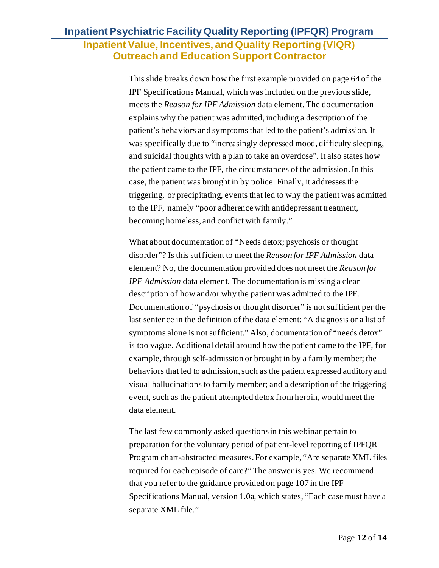This slide breaks down how the first example provided on page 64 of the IPF Specifications Manual, which was included on the previous slide, meets the *Reason for IPF Admission* data element. The documentation explains why the patient was admitted, including a description of the patient's behaviors and symptoms that led to the patient's admission. It was specifically due to "increasingly depressed mood, difficulty sleeping, and suicidal thoughts with a plan to take an overdose". It also states how the patient came to the IPF, the circumstances of the admission. In this case, the patient was brought in by police. Finally, it addresses the triggering, or precipitating, events that led to why the patient was admitted to the IPF, namely "poor adherence with antidepressant treatment, becoming homeless, and conflict with family."

What about documentation of "Needs detox; psychosis or thought disorder"? Is this sufficient to meet the *Reason for IPF Admission* data element? No, the documentation provided does not meet the *Reason for IPF Admission* data element. The documentation is missing a clear description of how and/or why the patient was admitted to the IPF. Documentation of "psychosis or thought disorder" is not sufficient per the last sentence in the definition of the data element: "A diagnosis or a list of symptoms alone is not sufficient." Also, documentation of "needs detox" is too vague. Additional detail around how the patient came to the IPF, for example, through self-admission or brought in by a family member; the behaviors that led to admission, such as the patient expressed auditory and visual hallucinations to family member; and a description of the triggering event, such as the patient attempted detox from heroin, would meet the data element.

The last few commonly asked questions in this webinar pertain to preparation for the voluntary period of patient-level reporting of IPFQR Program chart-abstracted measures. For example, "Are separate XML files required for each episode of care?" The answer is yes. We recommend that you refer to the guidance provided on page 107 in the IPF Specifications Manual, version 1.0a, which states, "Each case must have a separate XML file."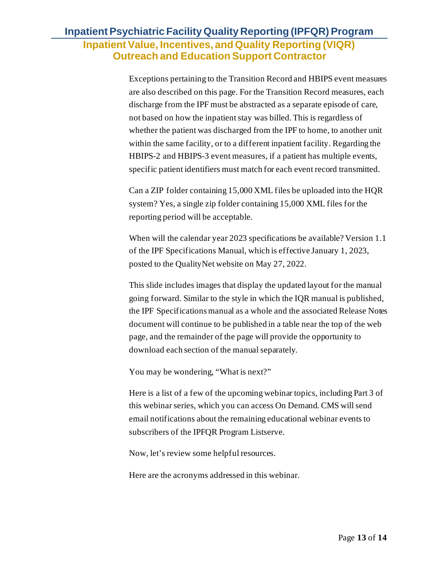Exceptions pertaining to the Transition Record and HBIPS event measures are also described on this page. For the Transition Record measures, each discharge from the IPF must be abstracted as a separate episode of care, not based on how the inpatient stay was billed. This is regardless of whether the patient was discharged from the IPF to home, to another unit within the same facility, or to a different inpatient facility. Regarding the HBIPS-2 and HBIPS-3 event measures, if a patient has multiple events, specific patient identifiers must match for each event record transmitted.

Can a ZIP folder containing 15,000 XML files be uploaded into the HQR system? Yes, a single zip folder containing 15,000 XML files for the reporting period will be acceptable.

When will the calendar year 2023 specifications be available? Version 1.1 of the IPF Specifications Manual, which is effective January 1, 2023, posted to the QualityNet website on May 27, 2022.

This slide includes images that display the updated layout for the manual going forward. Similar to the style in which the IQR manual is published, the IPF Specifications manual as a whole and the associated Release Notes document will continue to be published in a table near the top of the web page, and the remainder of the page will provide the opportunity to download each section of the manual separately.

You may be wondering, "What is next?"

Here is a list of a few of the upcoming webinar topics, including Part 3 of this webinar series, which you can access On Demand. CMS will send email notifications about the remaining educational webinar events to subscribers of the IPFQR Program Listserve.

Now, let's review some helpful resources.

Here are the acronyms addressed in this webinar.